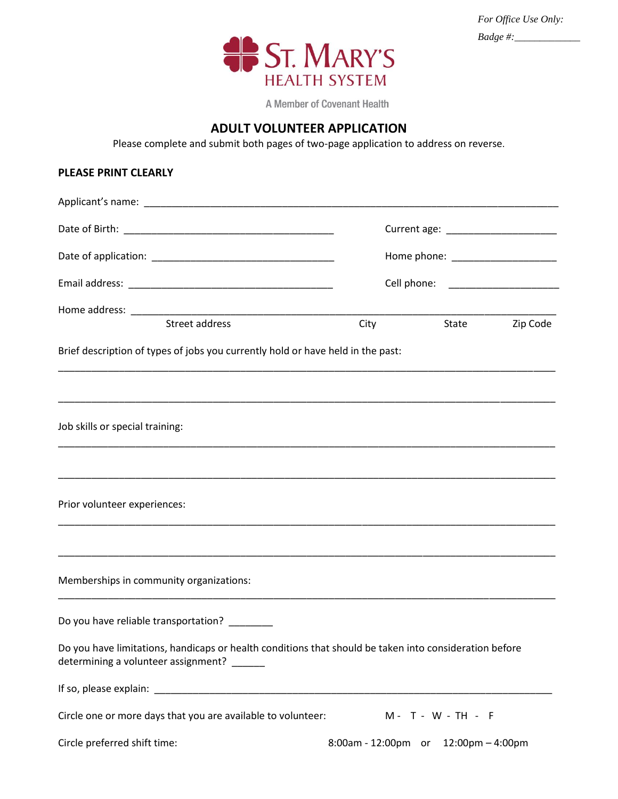

| For Office Use Only: |  |
|----------------------|--|
| Badge #: $\Box$      |  |

A Member of Covenant Health

## **ADULT VOLUNTEER APPLICATION**

Please complete and submit both pages of two-page application to address on reverse.

## **PLEASE PRINT CLEARLY**

| Street address                                                                                                                                       |                    | City State Zip Code                  |  |  |
|------------------------------------------------------------------------------------------------------------------------------------------------------|--------------------|--------------------------------------|--|--|
| Brief description of types of jobs you currently hold or have held in the past:                                                                      |                    |                                      |  |  |
|                                                                                                                                                      |                    |                                      |  |  |
| Job skills or special training:                                                                                                                      |                    |                                      |  |  |
|                                                                                                                                                      |                    |                                      |  |  |
| Prior volunteer experiences:                                                                                                                         |                    |                                      |  |  |
| Memberships in community organizations:                                                                                                              |                    |                                      |  |  |
| Do you have reliable transportation? _______                                                                                                         |                    |                                      |  |  |
| Do you have limitations, handicaps or health conditions that should be taken into consideration before<br>determining a volunteer assignment? ______ |                    |                                      |  |  |
|                                                                                                                                                      |                    |                                      |  |  |
| Circle one or more days that you are available to volunteer:                                                                                         | M - T - W - TH - F |                                      |  |  |
| Circle preferred shift time:                                                                                                                         |                    | 8:00am - 12:00pm or 12:00pm - 4:00pm |  |  |